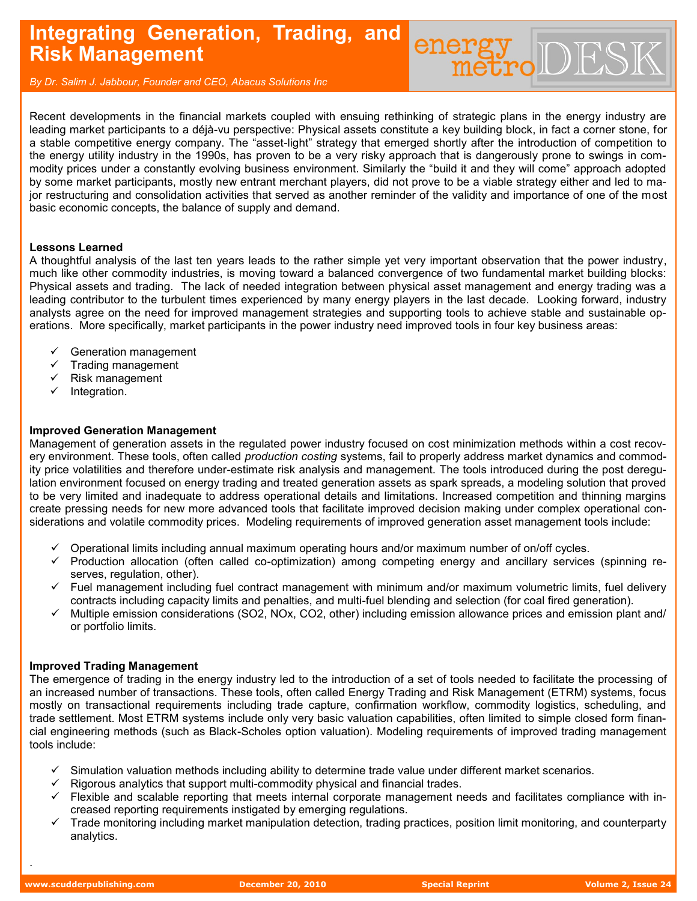# **Integrating Generation, Trading, and Risk Management**

*By Dr. Salim J. Jabbour, Founder and CEO, Abacus Solutions Inc*

Recent developments in the financial markets coupled with ensuing rethinking of strategic plans in the energy industry are leading market participants to a déjà-vu perspective: Physical assets constitute a key building block, in fact a corner stone, for a stable competitive energy company. The "asset-light" strategy that emerged shortly after the introduction of competition to the energy utility industry in the 1990s, has proven to be a very risky approach that is dangerously prone to swings in commodity prices under a constantly evolving business environment. Similarly the "build it and they will come" approach adopted by some market participants, mostly new entrant merchant players, did not prove to be a viable strategy either and led to major restructuring and consolidation activities that served as another reminder of the validity and importance of one of the most basic economic concepts, the balance of supply and demand.

energy DES

## **Lessons Learned**

A thoughtful analysis of the last ten years leads to the rather simple yet very important observation that the power industry, much like other commodity industries, is moving toward a balanced convergence of two fundamental market building blocks: Physical assets and trading. The lack of needed integration between physical asset management and energy trading was a leading contributor to the turbulent times experienced by many energy players in the last decade. Looking forward, industry analysts agree on the need for improved management strategies and supporting tools to achieve stable and sustainable operations. More specifically, market participants in the power industry need improved tools in four key business areas:

- $\checkmark$  Generation management
- $\checkmark$  Trading management
- Risk management
- $\checkmark$  Integration.

## **Improved Generation Management**

Management of generation assets in the regulated power industry focused on cost minimization methods within a cost recovery environment. These tools, often called *production costing* systems, fail to properly address market dynamics and commodity price volatilities and therefore under-estimate risk analysis and management. The tools introduced during the post deregulation environment focused on energy trading and treated generation assets as spark spreads, a modeling solution that proved to be very limited and inadequate to address operational details and limitations. Increased competition and thinning margins create pressing needs for new more advanced tools that facilitate improved decision making under complex operational considerations and volatile commodity prices. Modeling requirements of improved generation asset management tools include:

- $\check{\phantom{1}}$  Operational limits including annual maximum operating hours and/or maximum number of on/off cycles.
- $\checkmark$  Production allocation (often called co-optimization) among competing energy and ancillary services (spinning reserves, regulation, other).
- $\checkmark$  Fuel management including fuel contract management with minimum and/or maximum volumetric limits, fuel delivery contracts including capacity limits and penalties, and multi-fuel blending and selection (for coal fired generation).
- Multiple emission considerations (SO2, NOx, CO2, other) including emission allowance prices and emission plant and/ or portfolio limits.

### **Improved Trading Management**

The emergence of trading in the energy industry led to the introduction of a set of tools needed to facilitate the processing of an increased number of transactions. These tools, often called Energy Trading and Risk Management (ETRM) systems, focus mostly on transactional requirements including trade capture, confirmation workflow, commodity logistics, scheduling, and trade settlement. Most ETRM systems include only very basic valuation capabilities, often limited to simple closed form financial engineering methods (such as Black-Scholes option valuation). Modeling requirements of improved trading management tools include:

- $\checkmark$  Simulation valuation methods including ability to determine trade value under different market scenarios.
- $\checkmark$  Rigorous analytics that support multi-commodity physical and financial trades.
- Flexible and scalable reporting that meets internal corporate management needs and facilitates compliance with increased reporting requirements instigated by emerging regulations.
- Trade monitoring including market manipulation detection, trading practices, position limit monitoring, and counterparty analytics.

.